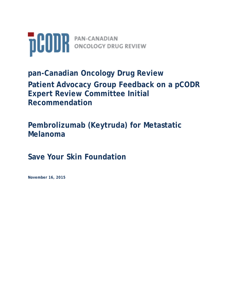

**pan-Canadian Oncology Drug Review Patient Advocacy Group Feedback on a pCODR Expert Review Committee Initial Recommendation** 

**Pembrolizumab (Keytruda) for Metastatic Melanoma**

**Save Your Skin Foundation**

**November 16, 2015**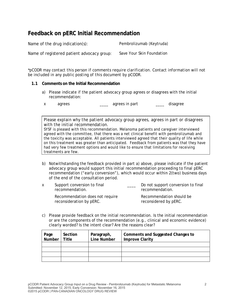# **Feedback on pERC Initial Recommendation**

Name of the drug indication(s): Pembrolizumab (Keytruda) Name of registered patient advocacy group: Save Your Skin Foundation

*\*pCODR may contact this person if comments require clarification. Contact information will not be included in any public posting of this document by pCODR.*

#### **1.1 Comments on the Initial Recommendation**

a) Please indicate if the patient advocacy group agrees or disagrees with the initial recommendation:

x agrees <u>\_\_\_\_</u> agrees in part \_\_\_\_ disagree

*Please explain why the patient advocacy group agrees, agrees in part or disagrees with the initial recommendation.*  SYSF is pleased with this recommendation. Melanoma patients and caregiver interviewed agreed with the committee, that there was a net clinical benefit with pembrolizumab and the toxicity was acceptable. All patients interviewed agreed that their quality of life while on this treatment was greater than anticipated. Feedback from patients was that they have had very few treatment options and would like to ensure that limitations for receiving treatments are few.

b) Notwithstanding the feedback provided in part a) above, please indicate if the patient advocacy group would support this initial recommendation proceeding to final pERC recommendation ("early conversion"), which would occur within 2(two) business days of the end of the consultation period.

| X. | Support conversion to final<br>recommendation.              | Do not support conversion to final<br>recommendation. |
|----|-------------------------------------------------------------|-------------------------------------------------------|
|    | Recommendation does not require<br>reconsideration by pERC. | Recommendation should be<br>reconsidered by pERC.     |

c) Please provide feedback on the initial recommendation. Is the initial recommendation or are the components of the recommendation (e.g., clinical and economic evidence) clearly worded? Is the intent clear? Are the reasons clear?

| Page<br>Number | Section<br>Title | Paragraph,<br>Line Number | Comments and Suggested Changes to<br><b>Improve Clarity</b> |
|----------------|------------------|---------------------------|-------------------------------------------------------------|
|                |                  |                           |                                                             |
|                |                  |                           |                                                             |
|                |                  |                           |                                                             |
|                |                  |                           |                                                             |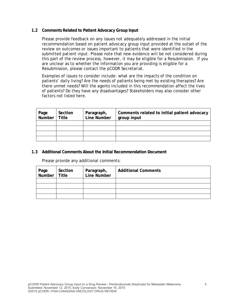#### **1.2 Comments Related to Patient Advocacy Group Input**

Please provide feedback on any issues not adequately addressed in the initial recommendation based on patient advocacy group input provided at the outset of the review on outcomes or issues important to patients that were identified in the submitted patient input. Please note that new evidence will be not considered during this part of the review process, however, it may be eligible for a Resubmission. If you are unclear as to whether the information you are providing is eligible for a Resubmission, please contact the pCODR Secretariat.

Examples of issues to consider include: what are the impacts of the condition on patients' daily living? Are the needs of patients being met by existing therapies? Are there unmet needs? Will the agents included in this recommendation affect the lives of patients? Do they have any disadvantages? Stakeholders may also consider other factors not listed here.

| Page   Section<br>Number   Title | Section | Paragraph,<br>Line Number | Comments related to initial patient advocacy<br>group input |
|----------------------------------|---------|---------------------------|-------------------------------------------------------------|
|                                  |         |                           |                                                             |
|                                  |         |                           |                                                             |
|                                  |         |                           |                                                             |
|                                  |         |                           |                                                             |

#### **1.3 Additional Comments About the Initial Recommendation Document**

Please provide any additional comments:

| Page   Section<br>Number   Title | Section | Paragraph,<br>Line Number | <b>Additional Comments</b> |
|----------------------------------|---------|---------------------------|----------------------------|
|                                  |         |                           |                            |
|                                  |         |                           |                            |
|                                  |         |                           |                            |
|                                  |         |                           |                            |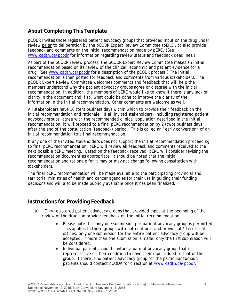## **About Completing This Template**

pCODR invites those registered patient advocacy groups that provided input on the drug under review **prior** to deliberation by the pCODR Expert Review Committee (pERC), to also provide feedback and comments on the initial recommendation made by pERC. (See www.cadth.ca/pcodr for information regarding review status and feedback deadlines.)

As part of the pCODR review process, the pCODR Expert Review Committee makes an initial recommendation based on its review of the clinical, economic and patient evidence for a drug. (See www.cadth.ca/pcodr for a description of the pCODR process.) The initial recommendation is then posted for feedback and comments from various stakeholders. The pCODR Expert Review Committee welcomes comments and feedback that will help the members understand why the patient advocacy groups agree or disagree with the initial recommendation. In addition, the members of pERC would like to know if there is any lack of clarity in the document and if so, what could be done to improve the clarity of the information in the initial recommendation. Other comments are welcome as well.

All stakeholders have 10 (ten) business days within which to provide their feedback on the initial recommendation and rationale. If all invited stakeholders, including registered patient advocacy groups, agree with the recommended clinical population described in the initial recommendation, it will proceed to a final pERC recommendation by 2 (two) business days after the end of the consultation (feedback) period. This is called an "early conversion" of an initial recommendation to a final recommendation.

If any one of the invited stakeholders does not support the initial recommendation proceeding to final pERC recommendation, pERC will review all feedback and comments received at the next possible pERC meeting. Based on the feedback received, pERC will consider revising the recommendation document as appropriate. It should be noted that the initial recommendation and rationale for it may or may not change following consultation with stakeholders.

The final pERC recommendation will be made available to the participating provincial and territorial ministries of health and cancer agencies for their use in guiding their funding decisions and will also be made publicly available once it has been finalized.

### **Instructions for Providing Feedback**

- a) Only registered patient advocacy groups that provided input at the beginning of the review of the drug can provide feedback on the initial recommendation.
	- Please note that only one submission per patient advocacy group is permitted. This applies to those groups with both national and provincial / territorial offices; only one submission for the entire patient advocacy group will be accepted. If more than one submission is made, only the first submission will be considered.
	- Individual patients should contact a patient advocacy group that is representative of their condition to have their input added to that of the group. If there is no patient advocacy group for the particular tumour, patients should contact pCODR for direction at www.cadth.ca/pcodr.